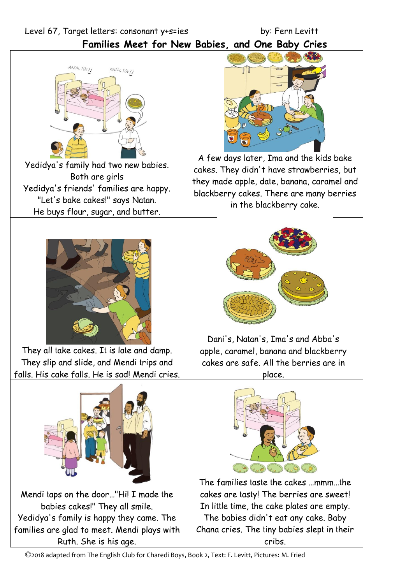Level 67, Target letters: consonant y+s=ies by: Fern Levitt

**Families Meet for New Babies, and One Baby Cries** 



Yedidya's family had two new babies. Both are girls Yedidya's friends' families are happy. "Let's bake cakes!" says Natan. He buys flour, sugar, and butter.



They all take cakes. It is late and damp. They slip and slide, and Mendi trips and falls. His cake falls. He is sad! Mendi cries.



Mendi taps on the door…"Hi! I made the babies cakes!" They all smile. Yedidya's family is happy they came. The families are glad to meet. Mendi plays with Ruth. She is his age.



A few days later, Ima and the kids bake cakes. They didn't have strawberries, but they made apple, date, banana, caramel and blackberry cakes. There are many berries in the blackberry cake.



Dani's, Natan's, Ima's and Abba's apple, caramel, banana and blackberry cakes are safe. All the berries are in place.



The families taste the cakes …mmm…the cakes are tasty! The berries are sweet! In little time, the cake plates are empty.

The babies didn't eat any cake. Baby Chana cries. The tiny babies slept in their cribs.

©2018 adapted from The English Club for Charedi Boys, Book 2, Text: F. Levitt, Pictures: M. Fried